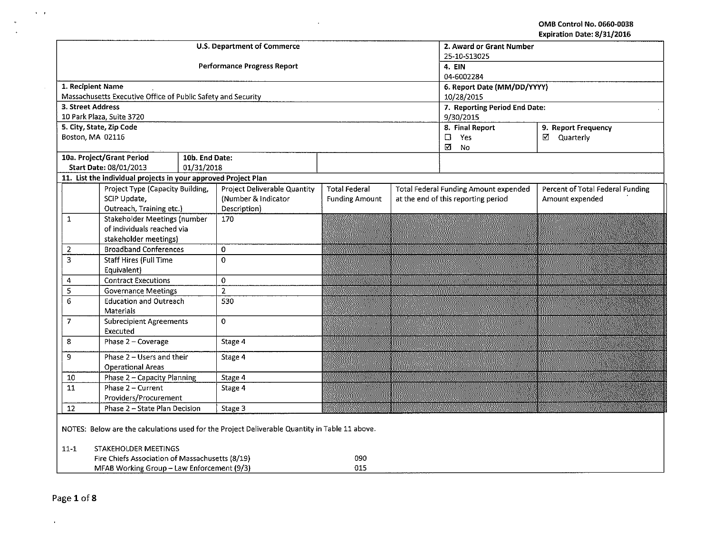OMB Control No. 0660-0038 Expiration Date: 8/31/2016

|                                                                                                | <b>U.S. Department of Commerce</b> | 2. Award or Grant Number<br>25-10-S13025 |                       |                             |                                       |                                  |  |  |
|------------------------------------------------------------------------------------------------|------------------------------------|------------------------------------------|-----------------------|-----------------------------|---------------------------------------|----------------------------------|--|--|
|                                                                                                |                                    | <b>Performance Progress Report</b>       | 4. EIN<br>04-6002284  |                             |                                       |                                  |  |  |
| 1. Recipient Name                                                                              |                                    |                                          |                       | 6. Report Date (MM/DD/YYYY) |                                       |                                  |  |  |
| Massachusetts Executive Office of Public Safety and Security                                   |                                    |                                          |                       |                             | 10/28/2015                            |                                  |  |  |
| 3. Street Address                                                                              |                                    |                                          |                       |                             | 7. Reporting Period End Date:         |                                  |  |  |
| 10 Park Plaza, Suite 3720                                                                      |                                    |                                          |                       |                             | 9/30/2015                             |                                  |  |  |
| 5. City, State, Zip Code                                                                       |                                    |                                          |                       |                             | 8. Final Report                       | 9. Report Frequency              |  |  |
| Boston, MA 02116                                                                               |                                    |                                          |                       |                             | Yes<br>$\Box$<br>☑<br>No              | ☑ Quarterly                      |  |  |
| 10a. Project/Grant Period                                                                      | 10b. End Date:                     |                                          |                       |                             |                                       |                                  |  |  |
| <b>Start Date: 08/01/2013</b>                                                                  | 01/31/2018                         |                                          |                       |                             |                                       |                                  |  |  |
| 11. List the individual projects in your approved Project Plan                                 |                                    |                                          |                       |                             |                                       |                                  |  |  |
| Project Type (Capacity Building,                                                               |                                    | <b>Project Deliverable Quantity</b>      | <b>Total Federal</b>  |                             | Total Federal Funding Amount expended | Percent of Total Federal Funding |  |  |
| SCIP Update,<br>Outreach, Training etc.)                                                       |                                    | (Number & Indicator<br>Description)      | <b>Funding Amount</b> |                             | at the end of this reporting period   | Amount expended                  |  |  |
| <b>Stakeholder Meetings (number</b><br>$\mathbf{1}$                                            |                                    | 170                                      |                       |                             |                                       |                                  |  |  |
| of individuals reached via                                                                     |                                    |                                          |                       |                             |                                       |                                  |  |  |
| stakeholder meetings)                                                                          |                                    |                                          |                       |                             |                                       |                                  |  |  |
| <b>Broadband Conferences</b><br>2                                                              |                                    | 0                                        |                       |                             |                                       |                                  |  |  |
| $\overline{3}$<br><b>Staff Hires (Full Time</b>                                                |                                    | $\mathbf 0$                              |                       |                             |                                       |                                  |  |  |
| Equivalent)                                                                                    |                                    |                                          |                       |                             |                                       |                                  |  |  |
| <b>Contract Executions</b><br>4                                                                |                                    | 0                                        |                       |                             |                                       |                                  |  |  |
| 5<br><b>Governance Meetings</b>                                                                |                                    | $\overline{2}$                           |                       |                             |                                       |                                  |  |  |
| 6<br><b>Education and Outreach</b>                                                             |                                    | 530                                      |                       |                             |                                       |                                  |  |  |
| <b>Materials</b>                                                                               |                                    |                                          |                       |                             |                                       |                                  |  |  |
| $\overline{7}$<br><b>Subrecipient Agreements</b>                                               |                                    | $\pmb 0$                                 |                       |                             |                                       |                                  |  |  |
| Executed                                                                                       |                                    |                                          |                       |                             |                                       |                                  |  |  |
| 8<br>Phase 2 - Coverage                                                                        |                                    | Stage 4                                  |                       |                             |                                       |                                  |  |  |
| Phase 2 - Users and their<br>9                                                                 |                                    | Stage 4                                  |                       |                             |                                       |                                  |  |  |
| <b>Operational Areas</b>                                                                       |                                    |                                          |                       |                             |                                       |                                  |  |  |
| $10\,$<br>Phase 2 - Capacity Planning                                                          |                                    | Stage 4                                  |                       |                             |                                       |                                  |  |  |
| $\overline{11}$<br>Phase 2 - Current                                                           |                                    | Stage 4                                  |                       |                             |                                       |                                  |  |  |
| Providers/Procurement<br>Phase 2 - State Plan Decision                                         |                                    |                                          |                       |                             |                                       |                                  |  |  |
| 12                                                                                             |                                    | Stage 3                                  |                       |                             |                                       |                                  |  |  |
| NOTES: Below are the calculations used for the Project Deliverable Quantity in Table 11 above. |                                    |                                          |                       |                             |                                       |                                  |  |  |
| STAKEHOLDER MEETINGS<br>$11 - 1$                                                               |                                    |                                          |                       |                             |                                       |                                  |  |  |
| Fire Chiefs Association of Massachusetts (8/19)                                                |                                    |                                          |                       |                             |                                       |                                  |  |  |
| 015<br>MFAB Working Group - Law Enforcement (9/3)                                              |                                    |                                          |                       |                             |                                       |                                  |  |  |

 $\sim 10^{-1}$ 

 $\alpha$ 

 $\mathbf{A}=\mathbf{A}$ 

 $\sim$ 

 $\ddot{\mathbf{v}}$ 

 $\mathcal{A}^{\mathcal{A}}$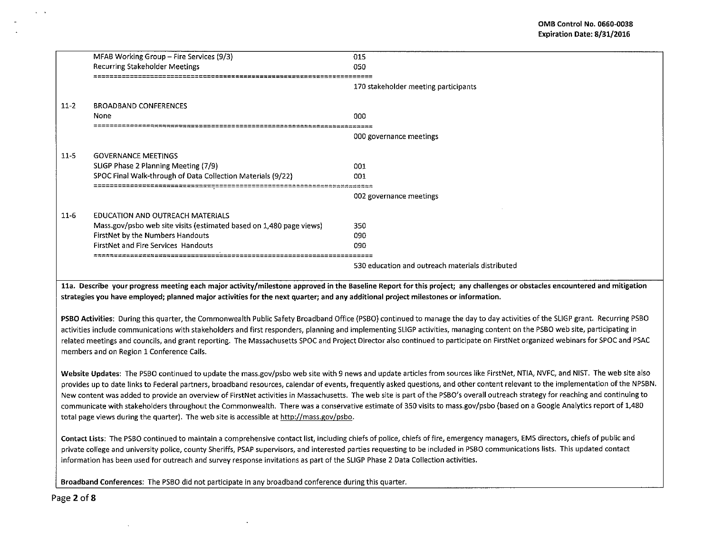|        | MFAB Working Group - Fire Services (9/3)                            | 015                                              |
|--------|---------------------------------------------------------------------|--------------------------------------------------|
|        | <b>Recurring Stakeholder Meetings</b>                               | 050                                              |
|        |                                                                     | 170 stakeholder meeting participants             |
| $11-2$ | <b>BROADBAND CONFERENCES</b>                                        |                                                  |
|        | None                                                                | 000                                              |
|        |                                                                     |                                                  |
|        |                                                                     | 000 governance meetings                          |
| $11-5$ | <b>GOVERNANCE MEETINGS</b>                                          |                                                  |
|        | SLIGP Phase 2 Planning Meeting (7/9)                                | 001                                              |
|        | SPOC Final Walk-through of Data Collection Materials (9/22)         | 001                                              |
|        | <u>⊐프로프프폰스프로프트폰프폰프로</u> 富富富富富富富三三三三三二二二二二二二二                        | 002 governance meetings                          |
| $11-6$ | EDUCATION AND OUTREACH MATERIALS                                    |                                                  |
|        | Mass.gov/psbo web site visits (estimated based on 1,480 page views) | 350                                              |
|        | FirstNet by the Numbers Handouts                                    | 090                                              |
|        | <b>FirstNet and Fire Services Handouts</b>                          | 090                                              |
|        |                                                                     | 530 education and outreach materials distributed |

lla. Describe your progress meeting each major activity/milestone approved in the Baseline Report for this project; any challenges or obstacles encountered and mitigation strategies you have employed; planned major activities for the next quarter; and any additional project milestones or information.

PSBO Activities: During this quarter, the Commonwealth Public Safety Broadband Office (PSBO) continued to manage the day to day activities of the SUGP grant. Recurring PSBO activities include communications with stakeholders and first responders, planning and implementing SLIGP activities, managing content on the PSBO web site, participating in related meetings and councils, and grant reporting. The Massachusetts SPOC and Project Director also continued to participate on FirstNet organized webinars for SPOC and PSAC members and on Region 1 Conference Calls.

Website Updates: The PSBO continued to update the mass.gov/psbo web site with 9 news and update articles from sources like FirstNet, NTIA, NVFC, and NIST. The web site also provides up to date links to Federal partners, broadband resources, calendar of events, frequently asked questions, and other content relevant to the implementation of the NPSBN. New content was added to provide an overview of FirstNet activities in Massachusetts. The web site is part of the PSBO's overall outreach strategy for reaching and continuing to communicate with stakeholders throughout the Commonwealth. There was a conservative estimate of 350 visits to mass.gov/psbo (based on a Google Analytics report of 1,480 total page views during the quarter). The web site is accessible at http://mass.gov/psbo.

Contact Lists: The PSBO continued to maintain a comprehensive contact list, including chiefs of police, chiefs of fire, emergency managers, EMS directors, chiefs of public and private college and university police, county Sheriffs, PSAP supervisors, and interested parties requesting to be included in PSBO communications lists. This updated contact information has been used for outreach and survey response invitations as part of the SLIGP Phase 2 Data Collection activities.

Broadband Conferences: The PSBO did not participate in any broadband conference during this quarter.

Page 2 of 8

 $\sim$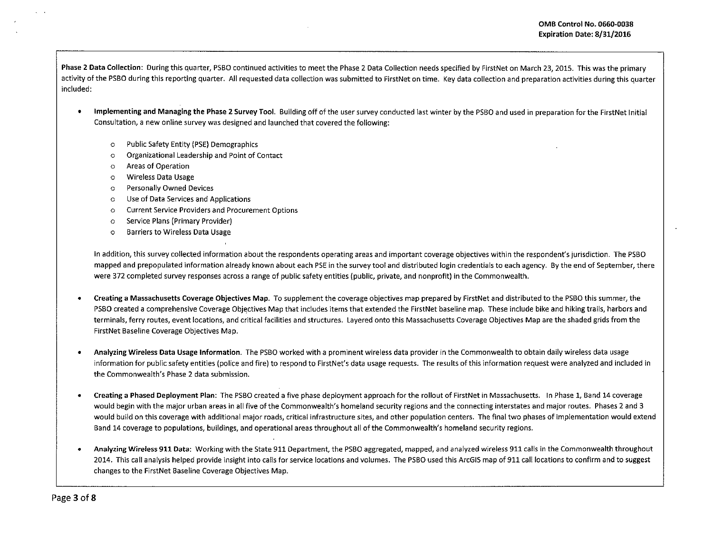Phase 2 Data Collection: During this quarter, PSBO continued activities to meet the Phase 2 Data Collection needs specified by FirstNet on March 23, 2015. This was the primary activity of the PSBO during this reporting quarter. All requested data collection was submitted to FirstNet on time. Key data collection and preparation activities during this quarter included:

- Implementing and Managing the Phase 2 Survey Tool. Building off of the user survey conducted last winter by the PSBO and used in preparation for the FirstNet Initial Consultation, a new online survey was designed and launched that covered the following:
	- o Public Safety Entity (PSE) Demographics
	- o Organizational Leadership and Point of Contact
	- o Areas of Operation
	- o Wireless Data Usage
	- o Personally Owned Devices
	- o Use of Data Services and Applications
	- o Current Service Providers and Procurement Options
	- o Service Plans (Primary Provider)
	- o Barriers to Wireless Data Usage

In addition, this survey collected information about the respondents operating areas and important coverage objectives within the respondent's jurisdiction. The PSBO mapped and prepopulated information already known about each PSE in the survey tool and distributed login credentials to each agency. By the end of September, there were 372 completed survey responses across a range of public safety entities (public, private, and nonprofit) in the Commonwealth.

- Creating a Massachusetts Coverage Objectives Map. To supplement the coverage objectives map prepared by FirstNet and distributed to the PSBO this summer, the PSBO created a comprehensive Coverage Objectives Map that includes items that extended the FirstNet baseline map. These include bike and hiking trails, harbors and terminals, ferry routes, event locations, and critical facilities and structures. layered onto this Massachusetts Coverage Objectives Map are the shaded grids from the FirstNet Baseline Coverage Objectives Map.
- Analyzing Wireless Data Usage Information. The PSBO worked with a prominent wireless data provider in the Commonwealth to obtain daily wireless data usage information for public safety entities (police and fire) to respond to FirstNet's data usage requests. The results of this information request were analyzed and included in the Commonwealth's Phase 2 data submission.
- Creating a Phased Deployment Plan: The PSBO created a five phase deployment approach for the rollout of FirstNet in Massachusetts. In Phase 1, Band 14 coverage would begin with the major urban areas in all five of the Commonwealth's homeland security regions and the connecting interstates and major routes. Phases 2 and 3 would build on this coverage with additional major roads, critical infrastructure sites, and other population centers. The final two phases of implementation would extend Band 14 coverage to populations, buildings, and operational areas throughout all of the Commonwealth's homeland security regions.
- Analyzing Wireless 911 Data: Working with the State 911 Department, the PSBO aggregated, mapped, and analyzed wireless 911 calls in the Commonwealth throughout 2014. This call analysis helped provide insight into calls for service locations and volumes. The PSBO used this ArcGIS map of 911 call locations to confirm and to suggest changes to the FirstNet Baseline Coverage Objectives Map.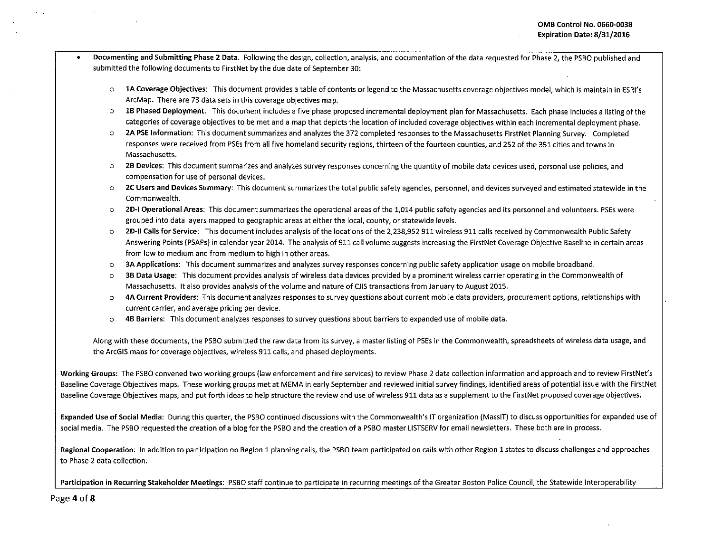- Documenting and Submitting Phase 2 Data. Following the design, collection, analysis, and documentation of the data requested for Phase 2, the PSBO published and submitted the following documents to FirstNet by the due date of September 30:
	- o lA Coverage Objectives: This document provides a table of contents or legend to the Massachusetts coverage objectives model, which is maintain in ESRI's ArcMap. There are 73 data sets in this coverage objectives map.
	- o lB Phased Deployment: This document includes a five phase proposed incremental deployment plan for Massachusetts. Each phase includes a listing of the categories of coverage objectives to be met and a map that depicts the location of included coverage objectives within each incremental deployment phase.
	- o 2A PSE Information: This document summarizes and analyzes the 372 completed responses to the Massachusetts FirstNet Planning Survey. Completed responses were received from PSEs from all five homeland security regions, thirteen of the fourteen counties, and 252 of the 351 cities and towns in Massachusetts.
	- o 28 Devices: This document summarizes and analyzes survey responses concerning the quantity of mobile data devices used, personal use policies, and compensation for use of personal devices.
	- o 2C Users and Devices Summary: This document summarizes the total public safety agencies, personnel, and devices surveyed and estimated statewide in the Commonwealth.
	- o 20-1 Operational Areas: This document summarizes the operational areas of the 1,014 public safety agencies and its personnel and volunteers. PSEs were grouped into data layers mapped to geographic areas at either the local, county, or statewide levels.
	- o 2D-II Calls for Service: This document includes analysis of the locations of the 2,238,952 911 wireless 911 calls received by Commonwealth Public Safety Answering Points (PSAPs) in calendar year 2014. The analysis of 911 call volume suggests increasing the FirstNet Coverage Objective Baseline in certain areas from low to medium and from medium to high in other areas.
	- o 3A Applications: This document summarizes and analyzes survey responses concerning public safety application usage on mobile broadband.
	- o 38 Data Usage: This document provides analysis of wireless data devices provided by a prominent wireless carrier operating in the Commonwealth of Massachusetts. It also provides analysis of the volume and nature of CJIS transactions from January to August 2015.
	- o 4A Current Providers: This document analyzes responses to survey questions about current mobile data providers, procurement options, relationships with current carrier, and average pricing per device.
	- o 48 Barriers: This document analyzes responses to survey questions about barriers to expanded use of mobile data.

Along with these documents, the PSBO submitted the raw data from its survey, a master listing of PSEs in the Commonwealth, spreadsheets of wireless data usage, and the ArcGIS maps for coverage objectives, wireless 911 calls, and phased deployments.

Working Groups: The PSBO convened two working groups (law enforcement and fire services) to review Phase 2 data collection information and approach and to review FirstNet's Baseline Coverage Objectives maps. These working groups met at MEMA in early September and reviewed initial survey findings, identified areas of potential issue with the FirstNet Baseline Coverage Objectives maps, and put forth ideas to help structure the review and use of wireless 911 data as a supplement to the FirstNet proposed coverage objectives.

Expanded Use of Social Media: During this quarter, the PSBO continued discussions with the Commonwealth's IT organization (MassIT) to discuss opportunities for expanded use of social media. The PSBO requested the creation of a blog for the PSBO and the creation of a PSBO master LISTSERV for email newsletters. These both are in process.

Regional Cooperation: In addition to participation on Region 1 planning calls, the PSBO team participated on calls with other Region 1 states to discuss challenges and approaches to Phase 2 data collection.

Participation in Recurring Stakeholder Meetings: PSBO staff continue to participate in recurring meetings of the Greater Boston Police Council, the Statewide Interoperability

Page 4 of 8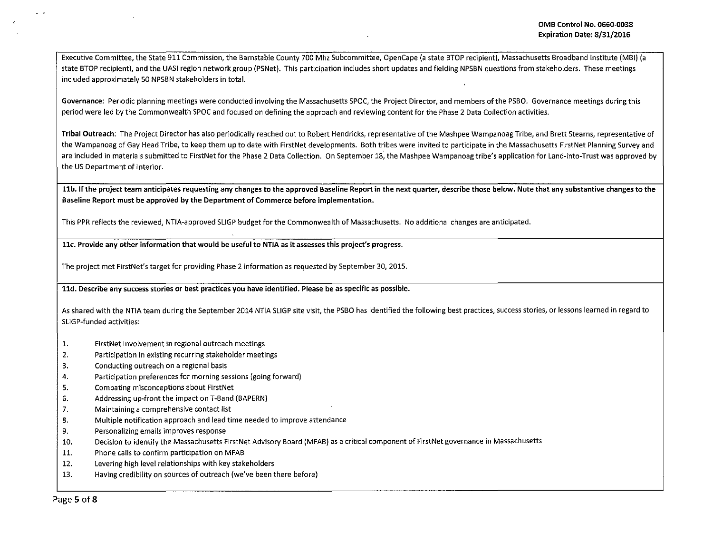Executive Committee, the State 911 Commission, the Barnstable County 700 Mhz Subcommittee, OpenCape (a state STOP recipient), Massachusetts Broadband Institute (MBI) (a state BTOP recipient), and the UASI region network group (PSNet). This participation includes short updates and fielding NPSBN questions from stakeholders. These meetings included approximately SO NPSBN stakeholders in total.

Governance: Periodic planning meetings were conducted involving the Massachusetts SPOC, the Project Director, and members of the PSBO. Governance meetings during this period were led by the Commonwealth SPOC and focused on defining the approach and reviewing content for the Phase 2 Data Collection activities.

Tribal Outreach: The Project Director has also periodically reached out to Robert Hendricks, representative of the Mashpee Wampanoag Tribe, and Brett Stearns, representative of the Wampanoag of Gay Head Tribe, to keep them up to date with FirstNet developments. Both tribes were invited to participate in the Massachusetts FirstNet Planning Survey and are included in materials submitted to FirstNet for the Phase 2 Data Collection. On September 18, the Mashpee Wampanoag tribe's application for Land-into-Trust was approved by the US Department of Interior.

11b. If the project team anticipates requesting any changes to the approved Baseline Report in the next quarter, describe those below. Note that any substantive changes to the Baseline Report must be approved by the Department of Commerce before implementation.

This PPR reflects the reviewed, NTIA-approved SLIGP budget for the Commonwealth of MaSsachusetts. No additional changes are anticipated.

llc. Provide any other information that would be useful to NTIA as it assesses this project's progress.

The project met FirstNet's target for providing Phase 2 information as requested by September 30, 2015.

lld. Describe any success stories or best practices you have identified. Please be as specific as possible.

As shared with the NTIA team during the September 2014 NTIA SUGP site visit, the PSBO has identified the following best practices, success stories, or lessons learned in regard to SUGP-funded activities:

- 1. FirstNet Involvement in regional outreach meetings
- 2. Participation in existing recurring stakeholder meetings
- 3. Conducting outreach on a regional basis
- 4. Participation preferences for morning sessions (going forward)
- 5. Combating misconceptions about FirstNet
- 6. Addressing up-front the impact on T-Band (BAPERN)
- 7. Maintaining a comprehensive contact list
- 8. Multiple notification approach and lead time needed to improve attendance
- 9. Personalizing emails improves response
- 10. Decision to identify the Massachusetts First Net Advisory Board {MFAB) as a critical component of FirstNet governance in Massachusetts
- 11. Phone calls to confirm participation on MFAB
- 12. Levering high level relationships with key stakeholders
- 13. Having credibility on sources of outreach (we've been there before)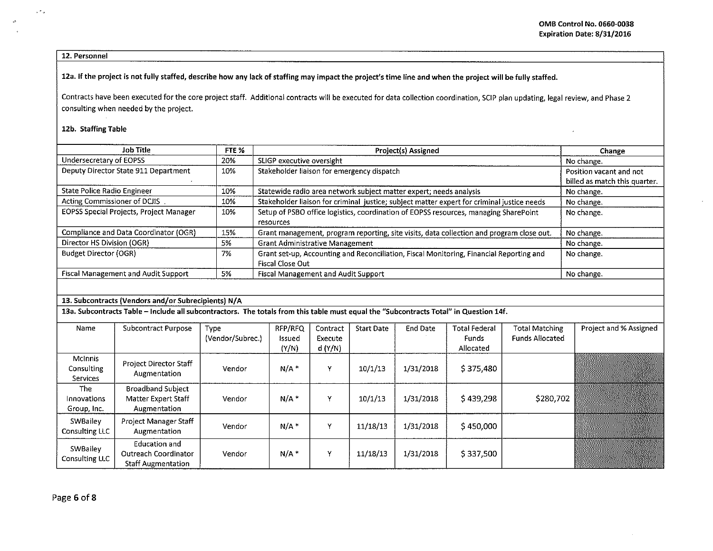$\mathbf{r}$ 

12. Personnel

 $\sim$   $\sim$   $_{\odot}$ 

 $\omega$ 

12a. If the project is not fully staffed, describe how any lack of staffing may impact the project's time line and when the project will be fully staffed.

Contracts have been executed for the core project staff. Additional contracts will be executed for data collection coordination, SCIP plan updating, legal review, and Phase 2 consulting when needed by the project.

## 12b. Staffing Table

| <b>Job Title</b>                                    | FTE % | Project(s) Assigned                                                                                                | Change                                                   |
|-----------------------------------------------------|-------|--------------------------------------------------------------------------------------------------------------------|----------------------------------------------------------|
| Undersecretary of EOPSS                             | 20%   | SLIGP executive oversight                                                                                          | No change.                                               |
| Deputy Director State 911 Department                | 10%   | Stakeholder liaison for emergency dispatch                                                                         | Position vacant and not<br>billed as match this quarter. |
| State Police Radio Engineer                         | 10%   | Statewide radio area network subject matter expert; needs analysis                                                 | No change.                                               |
| Acting Commissioner of DCJIS                        | 10%   | Stakeholder liaison for criminal justice; subject matter expert for criminal justice needs                         | No change.                                               |
| <b>EOPSS Special Projects, Project Manager</b>      | 10%   | Setup of PSBO office logistics, coordination of EOPSS resources, managing SharePoint<br>resources                  | No change.                                               |
| Compliance and Data Coordinator (OGR)               | 15%   | Grant management, program reporting, site visits, data collection and program close out.                           | No change.                                               |
| Director HS Division (OGR)                          | 5%    | <b>Grant Administrative Management</b>                                                                             | No change.                                               |
| <b>Budget Director (OGR)</b>                        | 7%    | Grant set-up, Accounting and Reconciliation, Fiscal Monitoring, Financial Reporting and<br><b>Fiscal Close Out</b> | No change.                                               |
| <b>Fiscal Management and Audit Support</b>          | 5%    | <b>Fiscal Management and Audit Support</b>                                                                         | No change.                                               |
|                                                     |       |                                                                                                                    |                                                          |
| 13. Subcontracts (Vendors and/or Subrecipients) N/A |       |                                                                                                                    |                                                          |

13a. Subcontracts Table - Include all subcontractors. The totals from this table must equal the "Subcontracts Total" in Question 14f.

| Name                                     | Subcontract Purpose                                                       | <b>Type</b><br>(Vendor/Subrec.) | RFP/RFQ<br>Issued<br>(Y/N) | Contract<br>Execute<br>d(Y/N) | <b>Start Date</b> | End Date  | <b>Total Federal</b><br><b>Funds</b><br>Allocated | Total Matching<br><b>Funds Allocated</b> | Project and % Assigned |
|------------------------------------------|---------------------------------------------------------------------------|---------------------------------|----------------------------|-------------------------------|-------------------|-----------|---------------------------------------------------|------------------------------------------|------------------------|
| <b>McInnis</b><br>Consulting<br>Services | Project Director Staff<br>Augmentation                                    | Vendor                          | $N/A$ *                    | v                             | 10/1/13           | 1/31/2018 | \$375,480                                         |                                          |                        |
| The<br>Innovations<br>Group, Inc.        | <b>Broadband Subject</b><br>Matter Expert Staff<br>Augmentation           | Vendor                          | $N/A$ <sup>*</sup>         | $\mathbf{v}$                  | 10/1/13           | 1/31/2018 | \$439,298                                         | \$280,702                                |                        |
| SWBailey<br>Consulting LLC               | Project Manager Staff<br>Augmentation                                     | Vendor                          | $N/A$ *                    | v                             | 11/18/13          | 1/31/2018 | \$450,000                                         |                                          |                        |
| SWBailey<br>Consulting LLC               | <b>Education and</b><br>Outreach Coordinator<br><b>Staff Augmentation</b> | Vendor                          | $N/A$ <sup>*</sup>         | v                             | 11/18/13          | 1/31/2018 | \$337,500                                         |                                          |                        |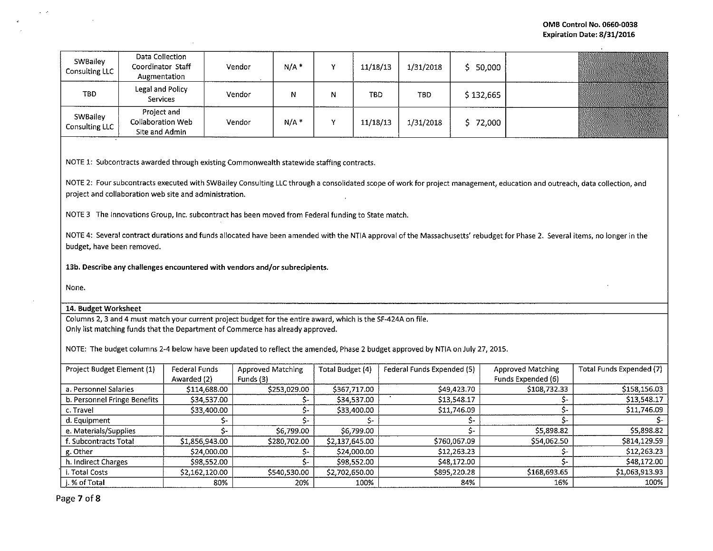| SWBailey<br><b>Consulting LLC</b> | Data Collection<br>Coordinator Staff<br>Augmentation      | Vendor | $N/A$ <sup>*</sup> | v  | 11/18/13   | 1/31/2018  | 50,000    |  |
|-----------------------------------|-----------------------------------------------------------|--------|--------------------|----|------------|------------|-----------|--|
| <b>TBD</b>                        | Legal and Policy<br><b>Services</b>                       | Vendor | Ν                  |    | <b>TBD</b> | <b>TBD</b> | \$132,665 |  |
| SWBailey<br>Consulting LLC        | Project and<br><b>Collaboration Web</b><br>Site and Admin | Vendor | $N/A$ *            | 54 | 11/18/13   | 1/31/2018  | 72,000    |  |

NOTE 1: Subcontracts awarded through existing Commonwealth statewide staffing contracts.

NOTE 2: Four subcontracts executed with SWBailey Consulting LLC through a consolidated scope of work for project management, education and outreach, data collection, and project and collaboration web site and administration.

NOTE 3 The Innovations Group, Inc. subcontract has been moved from Federal funding to State match.

NOTE 4: Several contract durations and funds allocated have been amended with the NTIA approval of the Massachusetts' rebudget for Phase 2. Several items, no longer in the budget, have been removed.

13b. Describe any challenges encountered with vendors and/or subrecipients.

None.

 $\omega \rightarrow \omega$ 

## 14. Budget Worksheet

Columns 2, 3 and 4 must match your current project budget for the entire award, which is the SF-424A on file. Only list matching funds that the Department of Commerce has already approved.

NOTE: The budget columns 2-4 below have been updated to reflect the amended, Phase 2 budget approved by NTIA on July 27, 2015.

| Project Budget Element (1)   | Federal Funds  | <b>Approved Matching</b> | Total Budget (4) | Federal Funds Expended (5) | Approved Matching  | Total Funds Expended (7) |
|------------------------------|----------------|--------------------------|------------------|----------------------------|--------------------|--------------------------|
|                              | Awarded (2)    | Funds (3)                |                  |                            | Funds Expended (6) |                          |
| a. Personnel Salaries        | \$114,688.00   | \$253,029.00             | \$367,717.00     | \$49,423.70                | \$108,732.33       | \$158,156.03             |
| b. Personnel Fringe Benefits | \$34,537.00    | ╮.                       | \$34,537.00      | \$13,548.17                |                    | \$13,548.17              |
| c. Travel                    | \$33,400.00    |                          | \$33,400.00      | \$11,746.09                |                    | \$11,746.09              |
| d. Equipment                 |                |                          |                  |                            |                    |                          |
| e. Materials/Supplies        |                | \$6,799.00               | \$6,799.00       |                            | \$5,898.82         | \$5,898.82               |
| . Subcontracts Total         | \$1,856,943.00 | \$280,702.00             | \$2,137,645.00   | \$760,067.09               | \$54,062.50        | \$814,129.59             |
| g. Other                     | \$24,000.00    |                          | \$24,000.00      | \$12,263.23                |                    | \$12,263.23              |
| h. Indirect Charges          | \$98,552.00    |                          | \$98,552.00      | \$48,172.00                |                    | \$48,172.00              |
| . Total Costs                | \$2,162,120.00 | \$540,530.00             | \$2,702,650.00   | \$895,220.28               | \$168,693.65       | \$1,063,913.93           |
| i. % of Total                | 80%            | 20%                      | 100%             | 84%                        | 16%                | 100%                     |